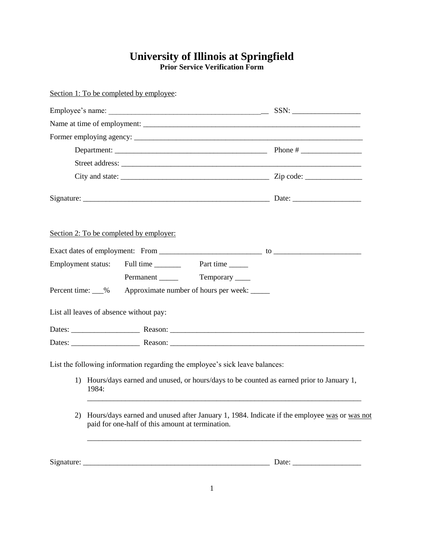## **University of Illinois at Springfield Prior Service Verification Form**

| Section 1: To be completed by employee:                                                                                                                                             |                       |
|-------------------------------------------------------------------------------------------------------------------------------------------------------------------------------------|-----------------------|
|                                                                                                                                                                                     |                       |
|                                                                                                                                                                                     |                       |
|                                                                                                                                                                                     |                       |
|                                                                                                                                                                                     |                       |
|                                                                                                                                                                                     |                       |
|                                                                                                                                                                                     |                       |
|                                                                                                                                                                                     |                       |
| Section 2: To be completed by employer:                                                                                                                                             |                       |
|                                                                                                                                                                                     |                       |
|                                                                                                                                                                                     |                       |
| Permanent Temporary                                                                                                                                                                 |                       |
| Percent time: __%<br>Approximate number of hours per week: _____                                                                                                                    |                       |
| List all leaves of absence without pay:                                                                                                                                             |                       |
|                                                                                                                                                                                     |                       |
|                                                                                                                                                                                     |                       |
| List the following information regarding the employee's sick leave balances:<br>1) Hours/days earned and unused, or hours/days to be counted as earned prior to January 1,<br>1984: |                       |
| Hours/days earned and unused after January 1, 1984. Indicate if the employee was or was not<br>(2)<br>paid for one-half of this amount at termination.                              |                       |
|                                                                                                                                                                                     | Date: $\qquad \qquad$ |